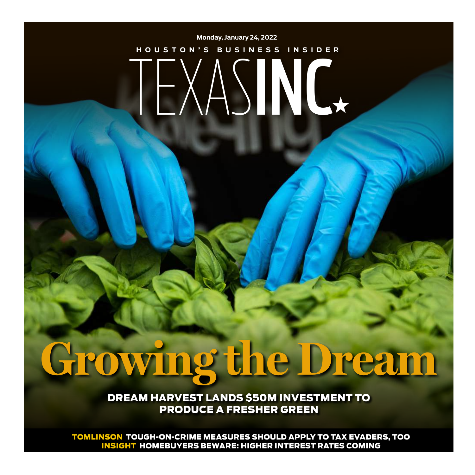## TEXASINC<sup>x</sup> **Monday, January 24, 2022 HOUSTON'S BUSINESS INSIDER**

# **Growing the Dream**

DREAM HARVEST LANDS \$50M INVESTMENT TO PRODUCE A FRESHER GREEN

TOMLINSON TOUGH-ON-CRIME MEASURES SHOULD APPLY TO TAX EVADERS, TOO INSIGHT HOMEBUYERS BEWARE: HIGHER INTEREST RATES COMING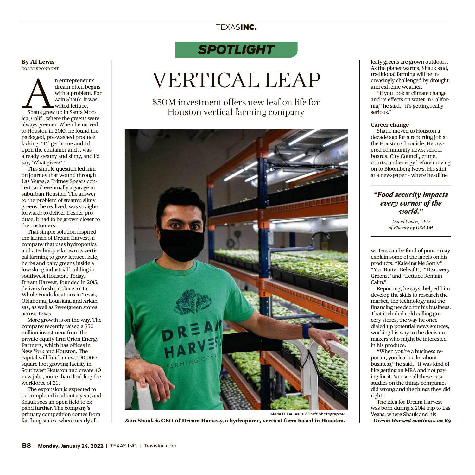#### TEXASINC.

#### *SPOTLIGHT*

### VERTICAL LEAP

\$50M investment offers new leaf on life for Houston vertical farming company



Marie D. De Jesús / Staff photographer **Zain Shauk is CEO 0f Dream Harvesy, a hydroponic, vertical farm based in Houston.** leafy greens are grown outdoors. As the planet warms, Shauk said, traditional farming will be increasingly challenged by drought and extreme weather.

"If you look at climate change and its effects on water in California," he said, "it's getting really serious."

#### **Career change**

Shauk moved to Houston a decade ago for a reporting job at the Houston Chronicle. He covered community news, school boards, City Council, crime, courts, and energy before moving on to Bloomberg News. His stint at a newspaper – where headline

#### *"Food security impacts every corner of the world."*

*David Cohen, CEO of Fluence by OSRAM*

writers can be fond of puns – may explain some of the labels on his products: "Kale-ing Me Softly," "You Butter Beleaf It," "Discovery Greens," and "Lettuce Remain Calm."

Reporting, he says, helped him develop the skills to research the market, the technology and the financing needed for his business. That included cold calling grocery stores, the way he once dialed up potential news sources, working his way to the decisionmakers who might be interested in his produce.

"When you're a business reporter, you learn a lot about business," he said. "It was kind of like getting an MBA and not paying for it. You see all these case studies on the things companies did wrong and the things they did right."

The idea for Dream Harvest was born during a 2014 trip to Las Vegas, where Shauk and his *Dream Harvest continues on B9*

**By Al Lewis** CORRESPONDENT

n entrepreneur's<br>dream often begin<br>with a problem. F<br>Zain Shauk, it was<br>shauk grew up in Santa Mondream often begins with a problem. For Zain Shauk, it was wilted lettuce. ica, Calif., where the greens were always greener. When he moved to Houston in 2010, he found the packaged, pre-washed produce lacking. "I'd get home and I'd open the container and it was already steamy and slimy, and I'd say, 'What gives?'"

This simple question led him on journey that wound through Las Vegas, a Britney Spears concert, and eventually a garage in suburban Houston. The answer to the problem of steamy, slimy greens, he realized, was straightforward: to deliver fresher produce, it had to be grown closer to the customers.

That simple solution inspired the launch of Dream Harvest, a company that uses hydroponics and a technique known as vertical farming to grow lettuce, kale, herbs and baby greens inside a low-slung industrial building in southwest Houston. Today, Dream Harvest, founded in 2015, delivers fresh produce to 46 Whole Foods locations in Texas, Oklahoma, Louisiana and Arkansas, as well as Sweetgreen stores across Texas.

More growth is on the way. The company recently raised a \$50 million investment from the private equity firm Orion Energy Partners, which has offices in New York and Houston. The capital will fund a new,100,000 square foot growing facility in Southwest Houston and create 40 new jobs, more than doubling the workforce of 26.

The expansion is expected to be completed in about a year, and Shauk sees an open field to expand further. The company's primary competition comes from far-flung states, where nearly all